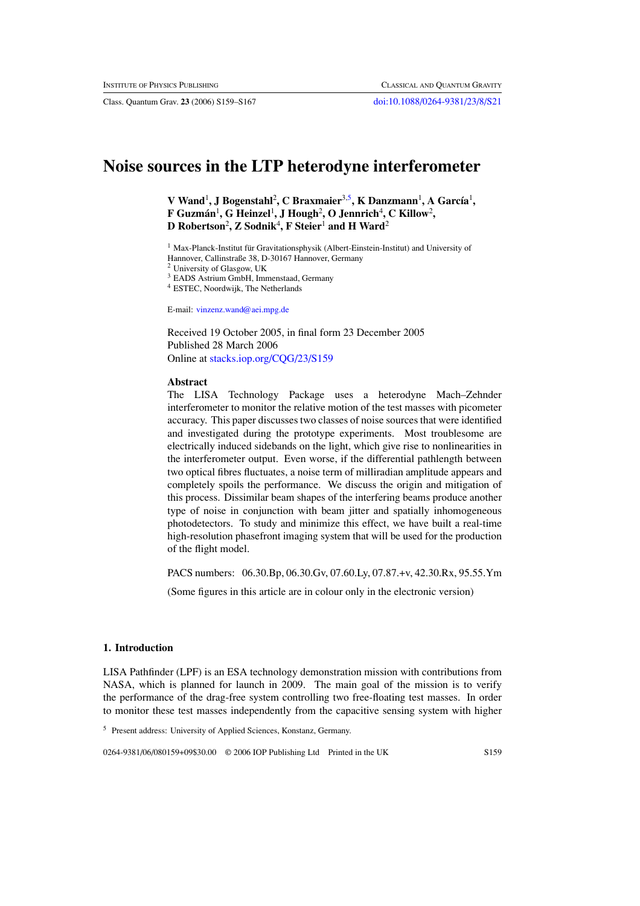Class. Quantum Grav. **23** (2006) S159–S167 [doi:10.1088/0264-9381/23/8/S21](http://dx.doi.org/10.1088/0264-9381/23/8/S21)

# **Noise sources in the LTP heterodyne interferometer**

**V** Wand<sup>1</sup>, J Bogenstahl<sup>2</sup>, C Braxmaier<sup>3,5</sup>, K Danzmann<sup>1</sup>, A García<sup>1</sup>,  ${\bf F}$  Guzmán<sup>1</sup>, G Heinzel<sup>1</sup>, J Hough<sup>2</sup>, O Jennrich<sup>4</sup>, C Killow<sup>2</sup>, **D Robertson**<sup>2</sup> **, Z Sodnik**<sup>4</sup> **, F Steier**<sup>1</sup> **and H Ward**<sup>2</sup>

 $1$  Max-Planck-Institut für Gravitationsphysik (Albert-Einstein-Institut) and University of

Hannover, Callinstraße 38, D-30167 Hannover, Germany

<sup>2</sup> University of Glasgow, UK

<sup>3</sup> EADS Astrium GmbH, Immenstaad, Germany

<sup>4</sup> ESTEC, Noordwijk, The Netherlands

E-mail: [vinzenz.wand@aei.mpg.de](mailto:vinzenz.wand@aei.mpg.de)

Received 19 October 2005, in final form 23 December 2005 Published 28 March 2006 Online at [stacks.iop.org/CQG/23/S159](http://stacks.iop.org/CQG/23/S159)

#### **Abstract**

The LISA Technology Package uses a heterodyne Mach–Zehnder interferometer to monitor the relative motion of the test masses with picometer accuracy. This paper discusses two classes of noise sources that were identified and investigated during the prototype experiments. Most troublesome are electrically induced sidebands on the light, which give rise to nonlinearities in the interferometer output. Even worse, if the differential pathlength between two optical fibres fluctuates, a noise term of milliradian amplitude appears and completely spoils the performance. We discuss the origin and mitigation of this process. Dissimilar beam shapes of the interfering beams produce another type of noise in conjunction with beam jitter and spatially inhomogeneous photodetectors. To study and minimize this effect, we have built a real-time high-resolution phasefront imaging system that will be used for the production of the flight model.

PACS numbers: 06.30.Bp, 06.30.Gv, 07.60.Ly, 07.87.+v, 42.30.Rx, 95.55.Ym

(Some figures in this article are in colour only in the electronic version)

#### **1. Introduction**

LISA Pathfinder (LPF) is an ESA technology demonstration mission with contributions from NASA, which is planned for launch in 2009. The main goal of the mission is to verify the performance of the drag-free system controlling two free-floating test masses. In order to monitor these test masses independently from the capacitive sensing system with higher

<sup>5</sup> Present address: University of Applied Sciences, Konstanz, Germany.

0264-9381/06/080159+09\$30.00 © 2006 IOP Publishing Ltd Printed in the UK S159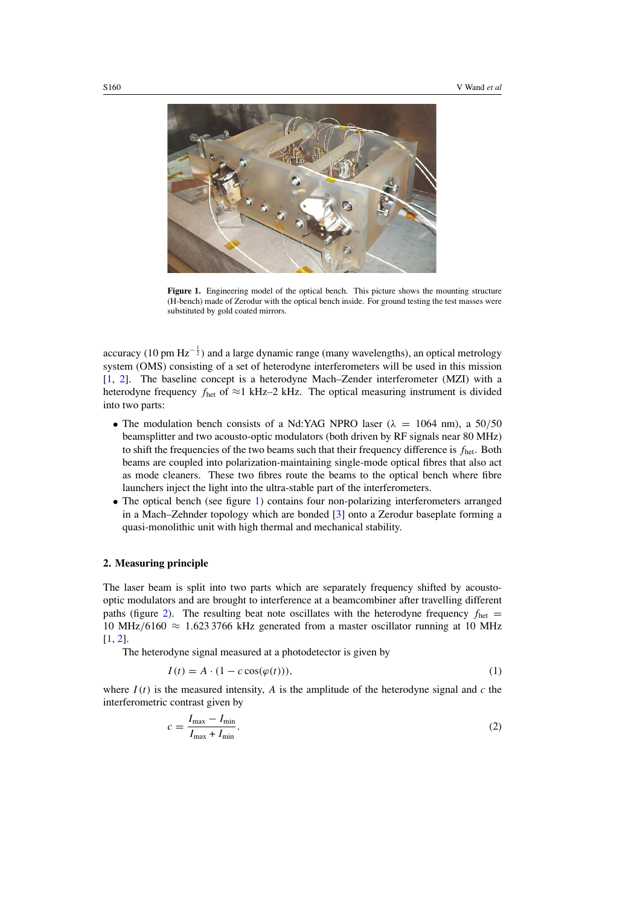

Figure 1. Engineering model of the optical bench. This picture shows the mounting structure (H-bench) made of Zerodur with the optical bench inside. For ground testing the test masses were substituted by gold coated mirrors.

accuracy (10 pm Hz<sup>- $\frac{1}{2}$ ) and a large dynamic range (many wavelengths), an optical metrology</sup> system (OMS) consisting of a set of heterodyne interferometers will be used in this mission [\[1](#page-8-0), [2](#page-8-0)]. The baseline concept is a heterodyne Mach–Zender interferometer (MZI) with a heterodyne frequency *f*het of ≈1 kHz–2 kHz. The optical measuring instrument is divided into two parts:

- The modulation bench consists of a Nd:YAG NPRO laser ( $\lambda = 1064$  nm), a 50/50 beamsplitter and two acousto-optic modulators (both driven by RF signals near 80 MHz) to shift the frequencies of the two beams such that their frequency difference is *f*het. Both beams are coupled into polarization-maintaining single-mode optical fibres that also act as mode cleaners. These two fibres route the beams to the optical bench where fibre launchers inject the light into the ultra-stable part of the interferometers.
- The optical bench (see figure 1) contains four non-polarizing interferometers arranged in a Mach–Zehnder topology which are bonded [\[3](#page-8-0)] onto a Zerodur baseplate forming a quasi-monolithic unit with high thermal and mechanical stability.

## **2. Measuring principle**

The laser beam is split into two parts which are separately frequency shifted by acoustooptic modulators and are brought to interference at a beamcombiner after travelling different paths (figure [2\)](#page-2-0). The resulting beat note oscillates with the heterodyne frequency  $f_{\text{het}} =$ 10 MHz*/*6160 ≈ 1*.*623 3766 kHz generated from a master oscillator running at 10 MHz [\[1](#page-8-0), [2](#page-8-0)].

The heterodyne signal measured at a photodetector is given by

$$
I(t) = A \cdot (1 - c \cos(\varphi(t))), \tag{1}
$$

where  $I(t)$  is the measured intensity, *A* is the amplitude of the heterodyne signal and *c* the interferometric contrast given by

$$
c = \frac{I_{\text{max}} - I_{\text{min}}}{I_{\text{max}} + I_{\text{min}}}.\tag{2}
$$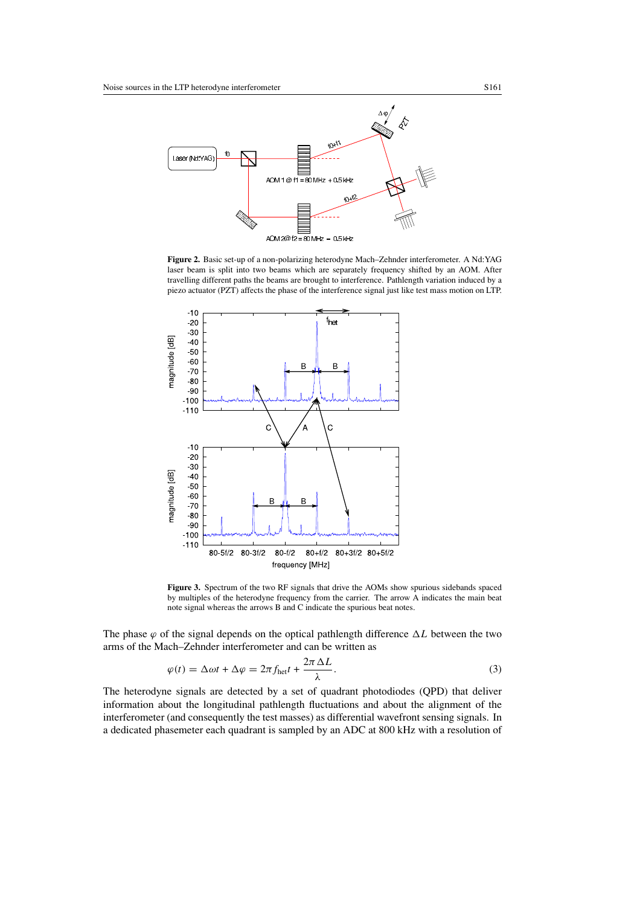<span id="page-2-0"></span>

**Figure 2.** Basic set-up of a non-polarizing heterodyne Mach–Zehnder interferometer. A Nd:YAG laser beam is split into two beams which are separately frequency shifted by an AOM. After travelling different paths the beams are brought to interference. Pathlength variation induced by a piezo actuator (PZT) affects the phase of the interference signal just like test mass motion on LTP.



**Figure 3.** Spectrum of the two RF signals that drive the AOMs show spurious sidebands spaced by multiples of the heterodyne frequency from the carrier. The arrow A indicates the main beat note signal whereas the arrows B and C indicate the spurious beat notes.

The phase  $\varphi$  of the signal depends on the optical pathlength difference  $\Delta L$  between the two arms of the Mach–Zehnder interferometer and can be written as

$$
\varphi(t) = \Delta \omega t + \Delta \varphi = 2\pi f_{\text{het}} t + \frac{2\pi \Delta L}{\lambda}.
$$
\n(3)

The heterodyne signals are detected by a set of quadrant photodiodes (QPD) that deliver information about the longitudinal pathlength fluctuations and about the alignment of the interferometer (and consequently the test masses) as differential wavefront sensing signals. In a dedicated phasemeter each quadrant is sampled by an ADC at 800 kHz with a resolution of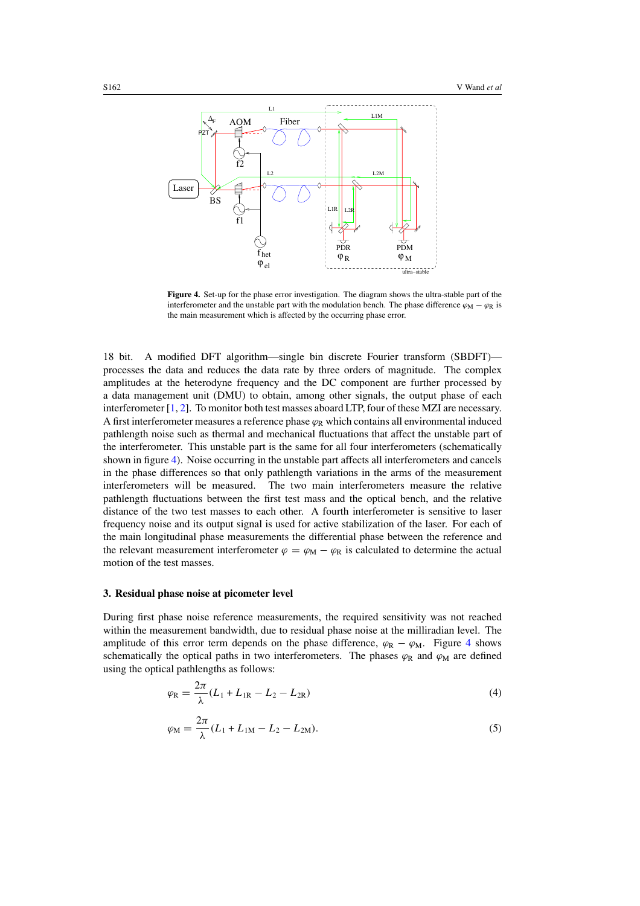<span id="page-3-0"></span>

**Figure 4.** Set-up for the phase error investigation. The diagram shows the ultra-stable part of the interferometer and the unstable part with the modulation bench. The phase difference  $\varphi_M - \varphi_R$  is the main measurement which is affected by the occurring phase error.

18 bit. A modified DFT algorithm—single bin discrete Fourier transform (SBDFT) processes the data and reduces the data rate by three orders of magnitude. The complex amplitudes at the heterodyne frequency and the DC component are further processed by a data management unit (DMU) to obtain, among other signals, the output phase of each interferometer [\[1](#page-8-0), [2](#page-8-0)]. To monitor both test masses aboard LTP, four of these MZI are necessary. A first interferometer measures a reference phase  $\varphi_R$  which contains all environmental induced pathlength noise such as thermal and mechanical fluctuations that affect the unstable part of the interferometer. This unstable part is the same for all four interferometers (schematically shown in figure 4). Noise occurring in the unstable part affects all interferometers and cancels in the phase differences so that only pathlength variations in the arms of the measurement interferometers will be measured. The two main interferometers measure the relative pathlength fluctuations between the first test mass and the optical bench, and the relative distance of the two test masses to each other. A fourth interferometer is sensitive to laser frequency noise and its output signal is used for active stabilization of the laser. For each of the main longitudinal phase measurements the differential phase between the reference and the relevant measurement interferometer  $\varphi = \varphi_M - \varphi_R$  is calculated to determine the actual motion of the test masses.

## **3. Residual phase noise at picometer level**

During first phase noise reference measurements, the required sensitivity was not reached within the measurement bandwidth, due to residual phase noise at the milliradian level. The amplitude of this error term depends on the phase difference,  $\varphi_R - \varphi_M$ . Figure 4 shows schematically the optical paths in two interferometers. The phases  $\varphi_R$  and  $\varphi_M$  are defined using the optical pathlengths as follows:

$$
\varphi_{\rm R} = \frac{2\pi}{\lambda} (L_1 + L_{1\rm R} - L_2 - L_{2\rm R})
$$
\n(4)

$$
\varphi_{\rm M} = \frac{2\pi}{\lambda} (L_1 + L_{1\rm M} - L_2 - L_{2\rm M}).
$$
\n(5)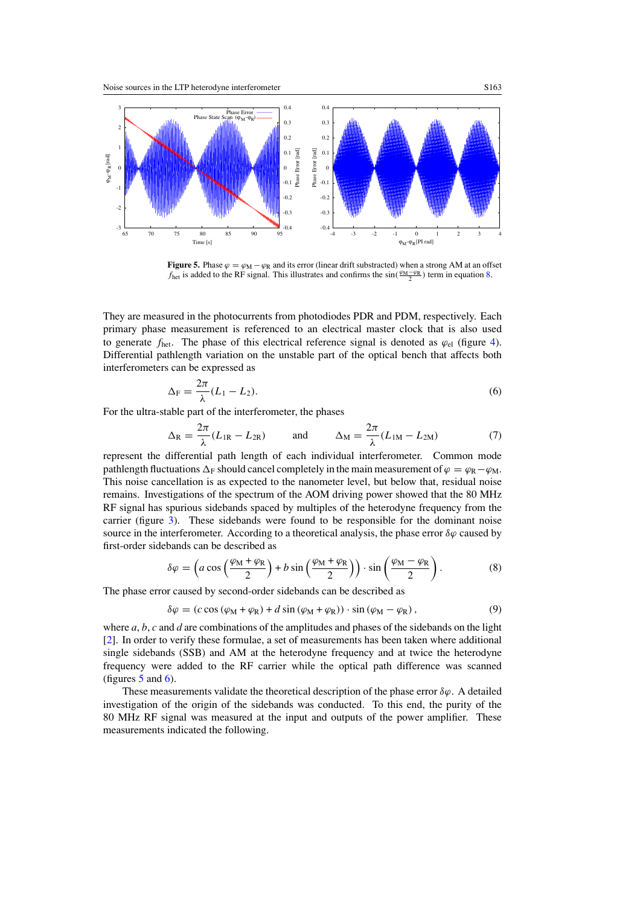<span id="page-4-0"></span>

**Figure 5.** Phase  $\varphi = \varphi_M - \varphi_R$  and its error (linear drift substracted) when a strong AM at an offset *f*<sub>het</sub> is added to the RF signal. This illustrates and confirms the sin( $\frac{\varphi_M - \varphi_R}{2}$ ) term in equation 8.

They are measured in the photocurrents from photodiodes PDR and PDM, respectively. Each primary phase measurement is referenced to an electrical master clock that is also used to generate  $f_{\text{het}}$ . The phase of this electrical reference signal is denoted as  $\varphi_{\text{el}}$  (figure [4\)](#page-3-0). Differential pathlength variation on the unstable part of the optical bench that affects both interferometers can be expressed as

$$
\Delta_{\mathcal{F}} = \frac{2\pi}{\lambda} (L_1 - L_2). \tag{6}
$$

For the ultra-stable part of the interferometer, the phases

$$
\Delta_{\rm R} = \frac{2\pi}{\lambda} (L_{\rm IR} - L_{\rm 2R}) \qquad \text{and} \qquad \Delta_{\rm M} = \frac{2\pi}{\lambda} (L_{\rm 1M} - L_{\rm 2M}) \tag{7}
$$

represent the differential path length of each individual interferometer. Common mode pathlength fluctuations  $\Delta_F$  should cancel completely in the main measurement of  $\varphi = \varphi_R - \varphi_M$ . This noise cancellation is as expected to the nanometer level, but below that, residual noise remains. Investigations of the spectrum of the AOM driving power showed that the 80 MHz RF signal has spurious sidebands spaced by multiples of the heterodyne frequency from the carrier (figure [3\)](#page-2-0). These sidebands were found to be responsible for the dominant noise source in the interferometer. According to a theoretical analysis, the phase error  $\delta\varphi$  caused by first-order sidebands can be described as

$$
\delta \varphi = \left( a \cos \left( \frac{\varphi_M + \varphi_R}{2} \right) + b \sin \left( \frac{\varphi_M + \varphi_R}{2} \right) \right) \cdot \sin \left( \frac{\varphi_M - \varphi_R}{2} \right). \tag{8}
$$

The phase error caused by second-order sidebands can be described as

$$
\delta \varphi = (c \cos (\varphi_M + \varphi_R) + d \sin (\varphi_M + \varphi_R)) \cdot \sin (\varphi_M - \varphi_R), \tag{9}
$$

where *a*, *b*, *c* and *d* are combinations of the amplitudes and phases of the sidebands on the light [\[2](#page-8-0)]. In order to verify these formulae, a set of measurements has been taken where additional single sidebands (SSB) and AM at the heterodyne frequency and at twice the heterodyne frequency were added to the RF carrier while the optical path difference was scanned (figures  $5$  and  $6$ ).

These measurements validate the theoretical description of the phase error *δϕ*. A detailed investigation of the origin of the sidebands was conducted. To this end, the purity of the 80 MHz RF signal was measured at the input and outputs of the power amplifier. These measurements indicated the following.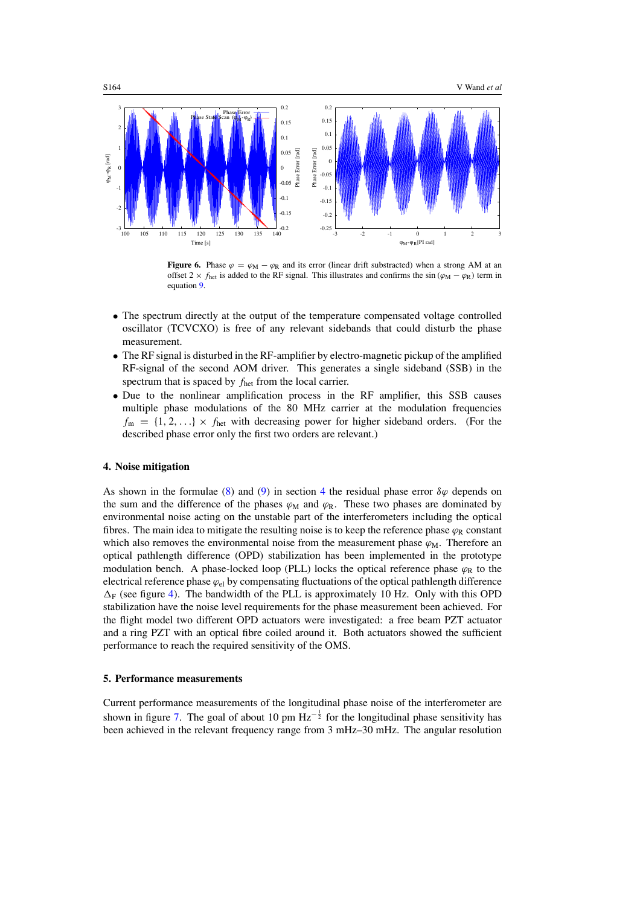<span id="page-5-0"></span>

**Figure 6.** Phase  $\varphi = \varphi_M - \varphi_R$  and its error (linear drift substracted) when a strong AM at an offset 2 ×  $f_{\text{het}}$  is added to the RF signal. This illustrates and confirms the sin  $(\varphi_M - \varphi_R)$  term in equation [9.](#page-4-0)

- The spectrum directly at the output of the temperature compensated voltage controlled oscillator (TCVCXO) is free of any relevant sidebands that could disturb the phase measurement.
- The RF signal is disturbed in the RF-amplifier by electro-magnetic pickup of the amplified RF-signal of the second AOM driver. This generates a single sideband (SSB) in the spectrum that is spaced by *f*het from the local carrier.
- Due to the nonlinear amplification process in the RF amplifier, this SSB causes multiple phase modulations of the 80 MHz carrier at the modulation frequencies  $f_m = \{1, 2, ...\} \times f_{het}$  with decreasing power for higher sideband orders. (For the described phase error only the first two orders are relevant.)

## **4. Noise mitigation**

As shown in the formulae [\(8\)](#page-4-0) and [\(9\)](#page-4-0) in section 4 the residual phase error  $\delta\varphi$  depends on the sum and the difference of the phases  $\varphi_M$  and  $\varphi_R$ . These two phases are dominated by environmental noise acting on the unstable part of the interferometers including the optical fibres. The main idea to mitigate the resulting noise is to keep the reference phase  $\varphi_R$  constant which also removes the environmental noise from the measurement phase  $\varphi_M$ . Therefore an optical pathlength difference (OPD) stabilization has been implemented in the prototype modulation bench. A phase-locked loop (PLL) locks the optical reference phase  $\varphi_R$  to the electrical reference phase *ϕ*el by compensating fluctuations of the optical pathlength difference  $\Delta_F$  (see figure [4\)](#page-3-0). The bandwidth of the PLL is approximately 10 Hz. Only with this OPD stabilization have the noise level requirements for the phase measurement been achieved. For the flight model two different OPD actuators were investigated: a free beam PZT actuator and a ring PZT with an optical fibre coiled around it. Both actuators showed the sufficient performance to reach the required sensitivity of the OMS.

#### **5. Performance measurements**

Current performance measurements of the longitudinal phase noise of the interferometer are shown in figure [7.](#page-6-0) The goal of about 10 pm  $Hz^{-\frac{1}{2}}$  for the longitudinal phase sensitivity has been achieved in the relevant frequency range from 3 mHz–30 mHz. The angular resolution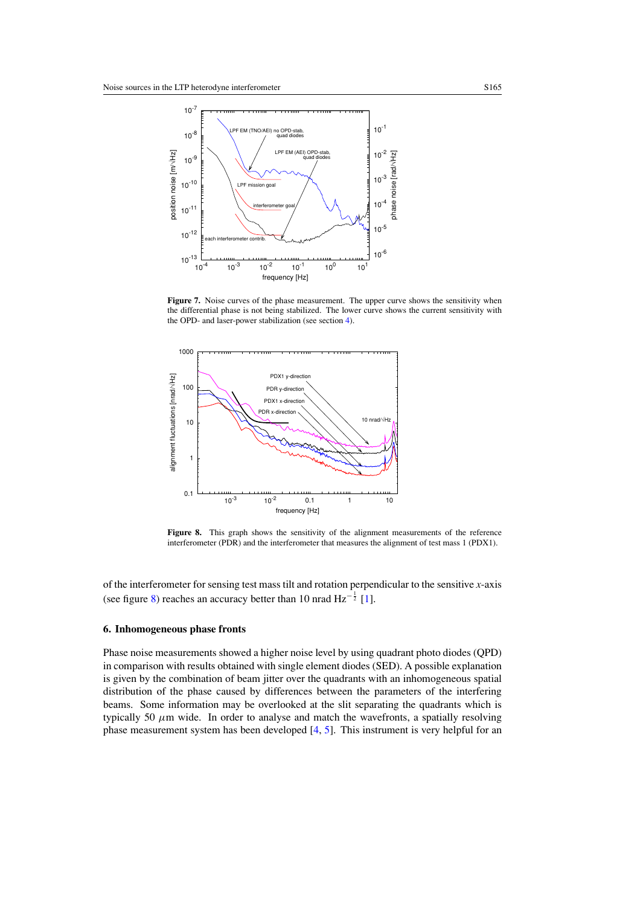<span id="page-6-0"></span>

Figure 7. Noise curves of the phase measurement. The upper curve shows the sensitivity when the differential phase is not being stabilized. The lower curve shows the current sensitivity with the OPD- and laser-power stabilization (see section [4\)](#page-5-0).



**Figure 8.** This graph shows the sensitivity of the alignment measurements of the reference interferometer (PDR) and the interferometer that measures the alignment of test mass 1 (PDX1).

of the interferometer for sensing test mass tilt and rotation perpendicular to the sensitive *x*-axis (see figure 8) reaches an accuracy better than 10 nrad  $\text{Hz}^{-\frac{1}{2}}$  [\[1\]](#page-8-0).

## **6. Inhomogeneous phase fronts**

Phase noise measurements showed a higher noise level by using quadrant photo diodes (QPD) in comparison with results obtained with single element diodes (SED). A possible explanation is given by the combination of beam jitter over the quadrants with an inhomogeneous spatial distribution of the phase caused by differences between the parameters of the interfering beams. Some information may be overlooked at the slit separating the quadrants which is typically 50  $\mu$ m wide. In order to analyse and match the wavefronts, a spatially resolving phase measurement system has been developed [\[4](#page-8-0), [5\]](#page-8-0). This instrument is very helpful for an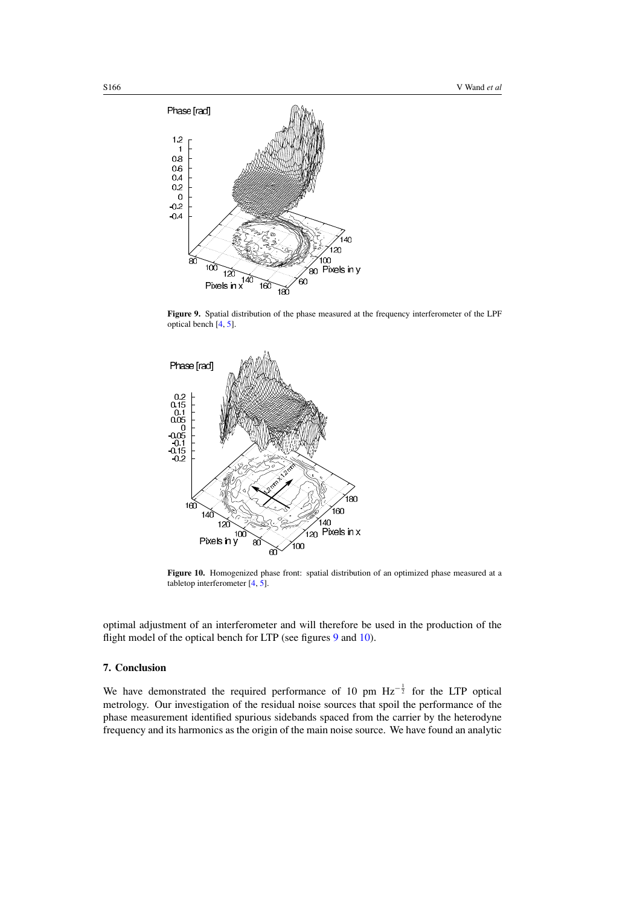

**Figure 9.** Spatial distribution of the phase measured at the frequency interferometer of the LPF optical bench [\[4](#page-8-0), [5](#page-8-0)].



**Figure 10.** Homogenized phase front: spatial distribution of an optimized phase measured at a tabletop interferometer  $\begin{bmatrix} 4, 5 \end{bmatrix}$ .

optimal adjustment of an interferometer and will therefore be used in the production of the flight model of the optical bench for LTP (see figures 9 and 10).

## **7. Conclusion**

We have demonstrated the required performance of 10 pm  $Hz^{-\frac{1}{2}}$  for the LTP optical metrology. Our investigation of the residual noise sources that spoil the performance of the phase measurement identified spurious sidebands spaced from the carrier by the heterodyne frequency and its harmonics as the origin of the main noise source. We have found an analytic